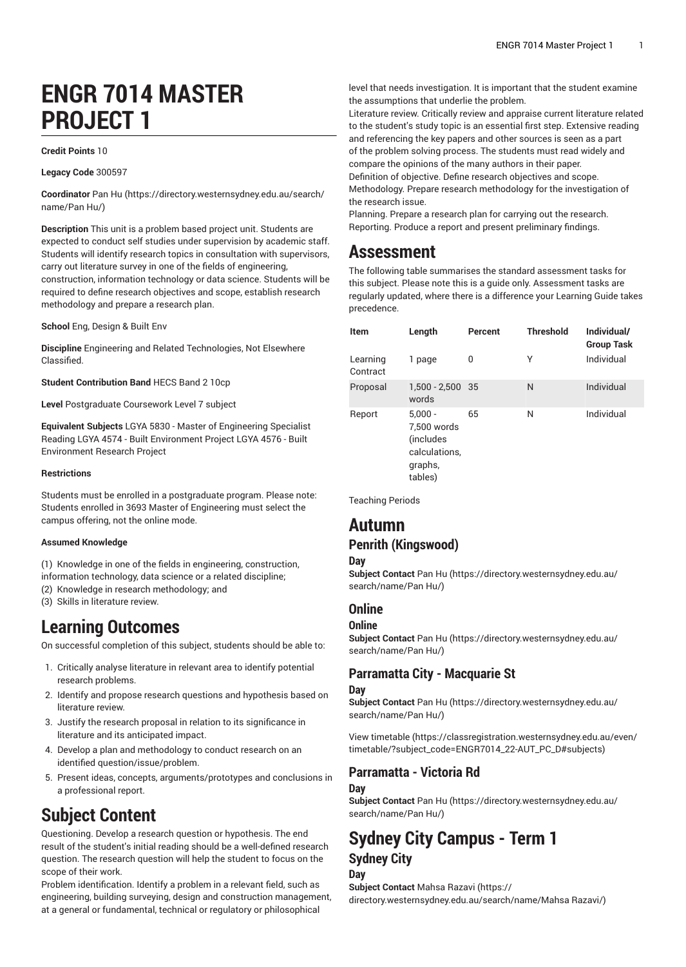## **ENGR 7014 MASTER PROJECT 1**

#### **Credit Points** 10

**Legacy Code** 300597

**Coordinator** [Pan](https://directory.westernsydney.edu.au/search/name/Pan Hu/) Hu [\(https://directory.westernsydney.edu.au/search/](https://directory.westernsydney.edu.au/search/name/Pan Hu/) [name/Pan](https://directory.westernsydney.edu.au/search/name/Pan Hu/) Hu/)

**Description** This unit is a problem based project unit. Students are expected to conduct self studies under supervision by academic staff. Students will identify research topics in consultation with supervisors, carry out literature survey in one of the fields of engineering, construction, information technology or data science. Students will be required to define research objectives and scope, establish research methodology and prepare a research plan.

**School** Eng, Design & Built Env

**Discipline** Engineering and Related Technologies, Not Elsewhere Classified.

**Student Contribution Band** HECS Band 2 10cp

**Level** Postgraduate Coursework Level 7 subject

**Equivalent Subjects** LGYA 5830 - Master of Engineering Specialist Reading LGYA 4574 - Built Environment Project LGYA 4576 - Built Environment Research Project

#### **Restrictions**

Students must be enrolled in a postgraduate program. Please note: Students enrolled in 3693 Master of Engineering must select the campus offering, not the online mode.

#### **Assumed Knowledge**

(1) Knowledge in one of the fields in engineering, construction,

- information technology, data science or a related discipline;
- (2) Knowledge in research methodology; and (3) Skills in literature review.

**Learning Outcomes**

On successful completion of this subject, students should be able to:

- 1. Critically analyse literature in relevant area to identify potential research problems.
- 2. Identify and propose research questions and hypothesis based on literature review.
- 3. Justify the research proposal in relation to its significance in literature and its anticipated impact.
- 4. Develop a plan and methodology to conduct research on an identified question/issue/problem.
- 5. Present ideas, concepts, arguments/prototypes and conclusions in a professional report.

## **Subject Content**

Questioning. Develop a research question or hypothesis. The end result of the student's initial reading should be a well-defined research question. The research question will help the student to focus on the scope of their work.

Problem identification. Identify a problem in a relevant field, such as engineering, building surveying, design and construction management, at a general or fundamental, technical or regulatory or philosophical

level that needs investigation. It is important that the student examine the assumptions that underlie the problem.

Literature review. Critically review and appraise current literature related to the student's study topic is an essential first step. Extensive reading and referencing the key papers and other sources is seen as a part of the problem solving process. The students must read widely and compare the opinions of the many authors in their paper.

Definition of objective. Define research objectives and scope.

Methodology. Prepare research methodology for the investigation of the research issue.

Planning. Prepare a research plan for carrying out the research. Reporting. Produce a report and present preliminary findings.

## **Assessment**

The following table summarises the standard assessment tasks for this subject. Please note this is a guide only. Assessment tasks are regularly updated, where there is a difference your Learning Guide takes precedence.

| <b>Item</b>          | Length                                                                        | Percent | <b>Threshold</b> | Individual/<br><b>Group Task</b> |
|----------------------|-------------------------------------------------------------------------------|---------|------------------|----------------------------------|
| Learning<br>Contract | 1 page                                                                        | 0       | Υ                | Individual                       |
| Proposal             | 1,500 - 2,500 35<br>words                                                     |         | N                | Individual                       |
| Report               | $5,000 -$<br>7,500 words<br>(includes)<br>calculations,<br>graphs,<br>tables) | 65      | N                | Individual                       |

Teaching Periods

## **Autumn**

### **Penrith (Kingswood)**

#### **Day**

**Subject Contact** [Pan](https://directory.westernsydney.edu.au/search/name/Pan Hu/) Hu ([https://directory.westernsydney.edu.au/](https://directory.westernsydney.edu.au/search/name/Pan Hu/) [search/name/Pan](https://directory.westernsydney.edu.au/search/name/Pan Hu/) Hu/)

#### **Online**

#### **Online**

**Subject Contact** [Pan](https://directory.westernsydney.edu.au/search/name/Pan Hu/) Hu ([https://directory.westernsydney.edu.au/](https://directory.westernsydney.edu.au/search/name/Pan Hu/) [search/name/Pan](https://directory.westernsydney.edu.au/search/name/Pan Hu/) Hu/)

### **Parramatta City - Macquarie St**

#### **Day**

**Subject Contact** [Pan](https://directory.westernsydney.edu.au/search/name/Pan Hu/) Hu ([https://directory.westernsydney.edu.au/](https://directory.westernsydney.edu.au/search/name/Pan Hu/) [search/name/Pan](https://directory.westernsydney.edu.au/search/name/Pan Hu/) Hu/)

[View timetable](https://classregistration.westernsydney.edu.au/even/timetable/?subject_code=ENGR7014_22-AUT_PC_D#subjects) [\(https://classregistration.westernsydney.edu.au/even/](https://classregistration.westernsydney.edu.au/even/timetable/?subject_code=ENGR7014_22-AUT_PC_D#subjects) [timetable/?subject\\_code=ENGR7014\\_22-AUT\\_PC\\_D#subjects](https://classregistration.westernsydney.edu.au/even/timetable/?subject_code=ENGR7014_22-AUT_PC_D#subjects))

## **Parramatta - Victoria Rd**

#### **Day**

**Subject Contact** [Pan](https://directory.westernsydney.edu.au/search/name/Pan Hu/) Hu ([https://directory.westernsydney.edu.au/](https://directory.westernsydney.edu.au/search/name/Pan Hu/) [search/name/Pan](https://directory.westernsydney.edu.au/search/name/Pan Hu/) Hu/)

### **Sydney City Campus - Term 1 Sydney City Day**

**Subject Contact** [Mahsa](https://directory.westernsydney.edu.au/search/name/Mahsa Razavi/) Razavi ([https://](https://directory.westernsydney.edu.au/search/name/Mahsa Razavi/) [directory.westernsydney.edu.au/search/name/Mahsa](https://directory.westernsydney.edu.au/search/name/Mahsa Razavi/) Razavi/)